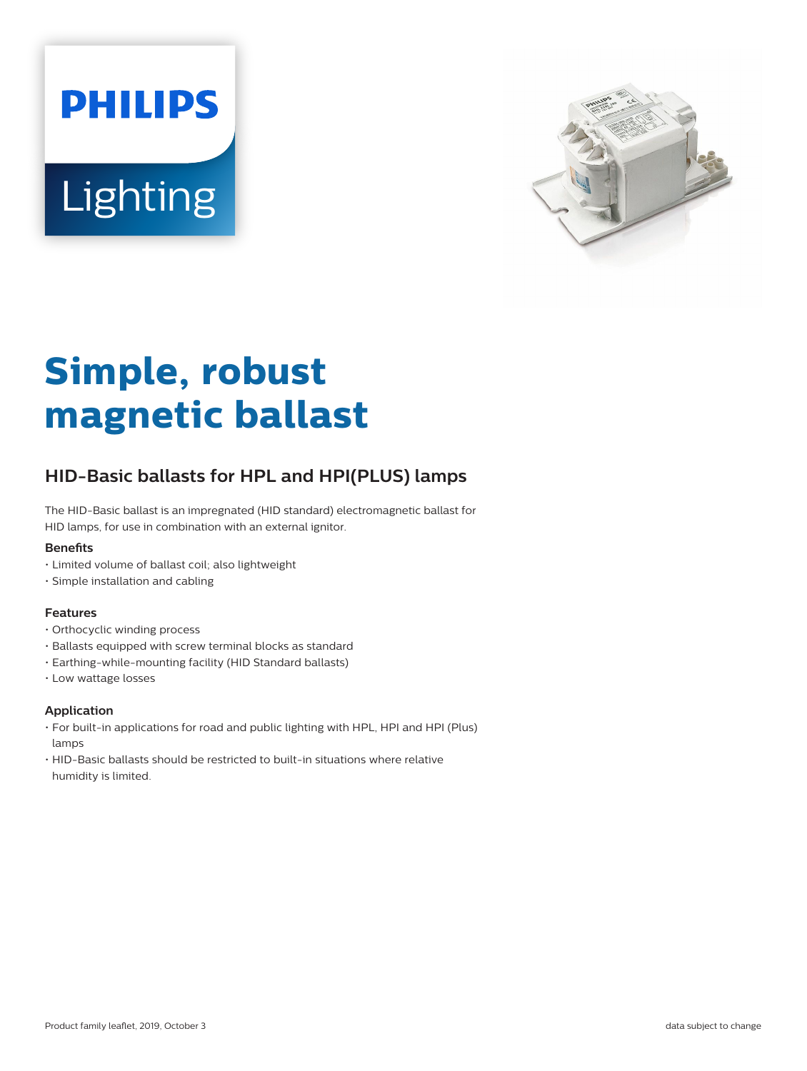



# **Simple, robust magnetic ballast**

## **HID-Basic ballasts for HPL and HPI(PLUS) lamps**

The HID-Basic ballast is an impregnated (HID standard) electromagnetic ballast for HID lamps, for use in combination with an external ignitor.

#### **Benets**

- Limited volume of ballast coil; also lightweight
- Simple installation and cabling

#### **Features**

- Orthocyclic winding process
- Ballasts equipped with screw terminal blocks as standard
- Earthing-while-mounting facility (HID Standard ballasts)
- Low wattage losses

#### **Application**

- For built-in applications for road and public lighting with HPL, HPI and HPI (Plus) lamps
- HID-Basic ballasts should be restricted to built-in situations where relative humidity is limited.